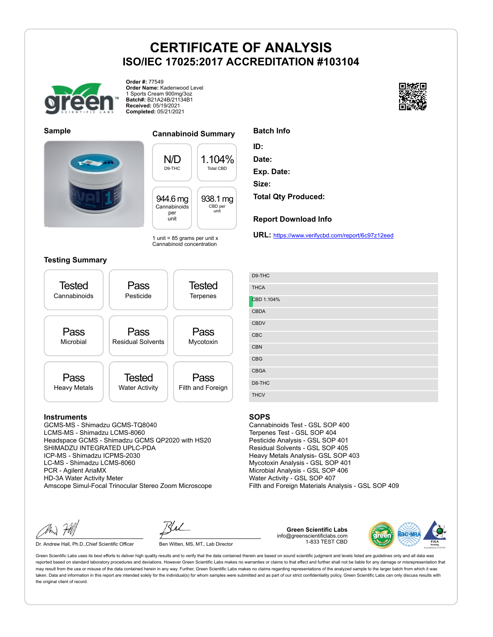

**Order #:** 77549 **Order Name:** Kadenwood Level 1 Sports Cream 900mg/3oz **Batch#:** B21A24B/21134B1 **Received:** 05/19/2021 **Completed:** 05/21/2021





### **Sample Cannabinoid Summary**

N/D D9-THC 1.104% Total CBD 944.6 mg Cannabinoids per unit 938.1 mg CBD per unit

1 unit =  $85$  grams per unit x Cannabinoid concentration

#### **Testing Summary**



### **Instruments**

GCMS-MS - Shimadzu GCMS-TQ8040 LCMS-MS - Shimadzu LCMS-8060 Headspace GCMS - Shimadzu GCMS QP2020 with HS20 SHIMADZU INTEGRATED UPLC-PDA ICP-MS - Shimadzu ICPMS-2030 LC-MS - Shimadzu LCMS-8060 PCR - Agilent AriaMX HD-3A Water Activity Meter Amscope Simul-Focal Trinocular Stereo Zoom Microscope

Dr. Andrew Hall, Ph.D., Chief Scientific Officer Ben Witten, MS, MT., Lab Director

**Green Scientific Labs** info@greenscientificlabs.com 1-833 TEST CBD



Green Scientific Labs uses its best efforts to deliver high quality results and to verify that the data contained therein are based on sound scientific judgment and levels listed are guidelines only and all data was reported based on standard laboratory procedures and deviations. However Green Scientific Labs makes no warranties or claims to that effect and further shall not be liable for any damage or misrepresentation that may result from the use or misuse of the data contained herein in any way. Further, Green Scientific Labs makes no claims regarding representations of the analyzed sample to the larger batch from which it was taken. Data and information in this report are intended solely for the individual(s) for whom samples were submitted and as part of our strict confidentiality policy, Green Scientific Labs can only discuss results with the original client of record.



**Report Download Info**

**URL:** https://www.verifycbd.com/report/6c97z12eed

| D9-THC      |
|-------------|
| <b>THCA</b> |
| CBD 1.104%  |
| <b>CBDA</b> |
| <b>CBDV</b> |
| CBC         |
| <b>CBN</b>  |
| <b>CBG</b>  |
| CBGA        |
| D8-THC      |
| <b>THCV</b> |

#### **SOPS**

Cannabinoids Test - GSL SOP 400 Terpenes Test - GSL SOP 404 Pesticide Analysis - GSL SOP 401 Residual Solvents - GSL SOP 405 Heavy Metals Analysis- GSL SOP 403 Mycotoxin Analysis - GSL SOP 401 Microbial Analysis - GSL SOP 406 Water Activity - GSL SOP 407 Filth and Foreign Materials Analysis - GSL SOP 409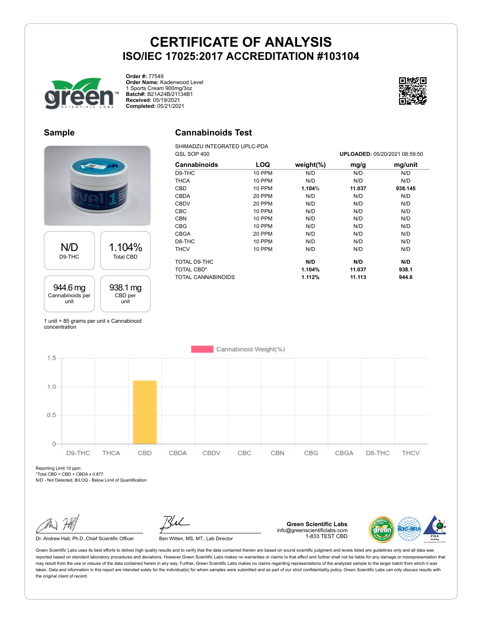

**Order #:** 77549 **Order Name:** Kadenwood Level 1 Sports Cream 900mg/3oz **Batch#:** B21A24B/21134B1 **Received:** 05/19/2021 **Completed:** 05/21/2021



## **Sample**

## **Cannabinoids Test**

SHIMADZU INTEGRATED UPLC-PDA

N/D D9-THC 1.104% Total CBD 944.6 mg Cannabinoids per unit 938.1 mg CBD per unit

| GSL SOP 400        |               |               | UPLOADED: 05/20/2021 08:59:50 |         |  |
|--------------------|---------------|---------------|-------------------------------|---------|--|
| Cannabinoids       | LOQ           | weight $(\%)$ | mg/g                          | mg/unit |  |
| D9-THC             | 10 PPM        | N/D           | N/D                           | N/D     |  |
| <b>THCA</b>        | <b>10 PPM</b> | N/D           | N/D                           | N/D     |  |
| <b>CBD</b>         | 10 PPM        | 1.104%        | 11.037                        | 938.145 |  |
| <b>CBDA</b>        | 20 PPM        | N/D           | N/D                           | N/D     |  |
| <b>CBDV</b>        | 20 PPM        | N/D           | N/D                           | N/D     |  |
| <b>CBC</b>         | 10 PPM        | N/D           | N/D                           | N/D     |  |
| <b>CBN</b>         | 10 PPM        | N/D           | N/D                           | N/D     |  |
| <b>CBG</b>         | <b>10 PPM</b> | N/D           | N/D                           | N/D     |  |
| <b>CBGA</b>        | <b>20 PPM</b> | N/D           | N/D                           | N/D     |  |
| D8-THC             | <b>10 PPM</b> | N/D           | N/D                           | N/D     |  |
| <b>THCV</b>        | 10 PPM        | N/D           | N/D                           | N/D     |  |
| TOTAL D9-THC       |               | N/D           | N/D                           | N/D     |  |
| <b>TOTAL CBD*</b>  |               | 1.104%        | 11.037                        | 938.1   |  |
| TOTAL CANNABINOIDS |               | 1.112%        | 11.113                        | 944.6   |  |

1 unit = 85 grams per unit x Cannabinoid concentration



Reporting Limit 10 ppm  $*Total CBD = CBD + CBDA \times 0.877$ 

N/D - Not Detected, B/LOQ - Below Limit of Quantification

Dr. Andrew Hall, Ph.D., Chief Scientific Officer Ben Witten, MS, MT., Lab Director

**Green Scientific Labs** info@greenscientificlabs.com 1-833 TEST CBD

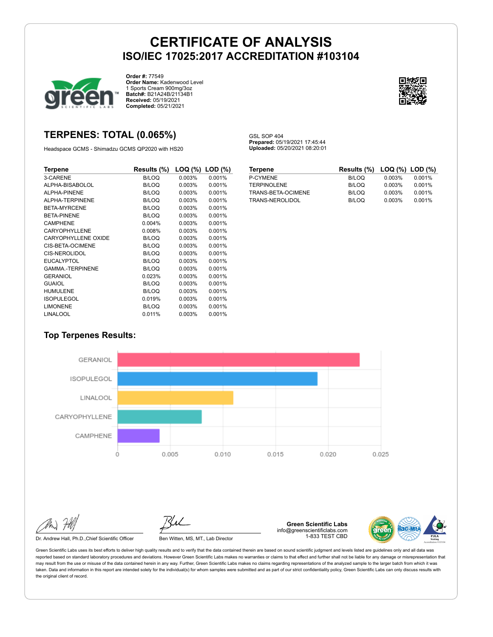GSL SOP 404

**Prepared:** 05/19/2021 17:45:44 **Uploaded:** 05/20/2021 08:20:01



**Order #:** 77549 **Order Name:** Kadenwood Level 1 Sports Cream 900mg/3oz **Batch#:** B21A24B/21134B1 **Received:** 05/19/2021 **Completed:** 05/21/2021



## **TERPENES: TOTAL (0.065%)**

Headspace GCMS - Shimadzu GCMS QP2020 with HS20

| Terpene                    | Results (%)  | $LOG (%)$ LOD $(\%)$ |        |
|----------------------------|--------------|----------------------|--------|
| 3-CARENE                   | <b>B/LOQ</b> | 0.003%               | 0.001% |
| ALPHA-BISABOLOL            | B/LOQ        | 0.003%               | 0.001% |
| ALPHA-PINENE               | B/LOQ        | 0.003%               | 0.001% |
| ALPHA-TERPINENE            | B/LOQ        | 0.003%               | 0.001% |
| <b>BETA-MYRCENE</b>        | B/LOQ        | 0.003%               | 0.001% |
| <b>BETA-PINENE</b>         | B/LOQ        | 0.003%               | 0.001% |
| <b>CAMPHENE</b>            | 0.004%       | 0.003%               | 0.001% |
| CARYOPHYLLENE              | 0.008%       | 0.003%               | 0.001% |
| <b>CARYOPHYLLENE OXIDE</b> | B/LOQ        | 0.003%               | 0.001% |
| CIS-BETA-OCIMENE           | B/LOQ        | 0.003%               | 0.001% |
| CIS-NEROLIDOL              | B/LOQ        | 0.003%               | 0.001% |
| <b>EUCALYPTOL</b>          | B/LOQ        | 0.003%               | 0.001% |
| <b>GAMMA-TERPINENE</b>     | B/LOQ        | 0.003%               | 0.001% |
| GERANIOL                   | 0.023%       | 0.003%               | 0.001% |
| <b>GUAIOL</b>              | B/LOQ        | 0.003%               | 0.001% |
| <b>HUMULENE</b>            | B/LOQ        | 0.003%               | 0.001% |
| <b>ISOPULEGOL</b>          | 0.019%       | 0.003%               | 0.001% |
| <b>LIMONENE</b>            | B/LOQ        | 0.003%               | 0.001% |
| <b>LINALOOL</b>            | 0.011%       | 0.003%               | 0.001% |

| <b>Terpene</b>     | Results (%) LOQ (%) LOD (%) |        |        |
|--------------------|-----------------------------|--------|--------|
| P-CYMENE           | B/LOQ                       | 0.003% | 0.001% |
| <b>TERPINOLENE</b> | B/LOQ                       | 0.003% | 0.001% |
| TRANS-BETA-OCIMENE | B/LOQ                       | 0.003% | 0.001% |
| TRANS-NEROLIDOL    | B/LOQ                       | 0.003% | 0.001% |

## **Top Terpenes Results:**



Dr. Andrew Hall, Ph.D., Chief Scientific Officer Ben Witten, MS, MT., Lab Director

**Green Scientific Labs** info@greenscientificlabs.com 1-833 TEST CBD

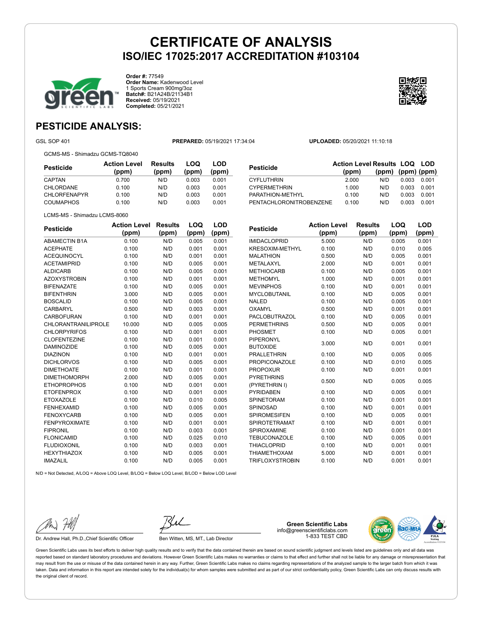

**Order #:** 77549 **Order Name:** Kadenwood Level 1 Sports Cream 900mg/3oz **Batch#:** B21A24B/21134B1 **Received:** 05/19/2021 **Completed:** 05/21/2021



# **PESTICIDE ANALYSIS:**

GSL SOP 401 **PREPARED:** 05/19/2021 17:34:04 **UPLOADED:** 05/20/2021 11:10:18

GCMS-MS - Shimadzu GCMS-TQ8040

| Pesticide           | <b>Action Level</b><br>(ppm) | Results<br>(ppm) | LOQ<br>(ppm) | LOD<br>(ppm) |
|---------------------|------------------------------|------------------|--------------|--------------|
| CAPTAN              | 0.700                        | N/D              | 0.003        | 0.001        |
| CHLORDANE           | 0.100                        | N/D              | 0.003        | 0.001        |
| <b>CHLORFENAPYR</b> | 0.100                        | N/D              | 0.003        | 0.001        |
| <b>COUMAPHOS</b>    | 0.100                        | N/D              | 0.003        | 0.001        |

| Pesticide               | <b>Action Level Results LOQ LOD</b> |                         |       |       |
|-------------------------|-------------------------------------|-------------------------|-------|-------|
|                         | (ppm)                               | $(ppm)$ $(ppm)$ $(ppm)$ |       |       |
| CYFLUTHRIN              | 2.000                               | N/D                     | 0.003 | 0.001 |
| <b>CYPERMETHRIN</b>     | 1.000                               | N/D                     | 0.003 | 0.001 |
| PARATHION-METHYL        | 0.100                               | N/D                     | 0.003 | 0.001 |
| PENTACHLORONITROBENZENE | 0.100                               | N/D                     | 0.003 | 0.001 |
|                         |                                     |                         |       |       |

LCMS-MS - Shimadzu LCMS-8060

| <b>Pesticide</b>           | <b>Action Level</b> | <b>Results</b> | LOQ   | LOD   |
|----------------------------|---------------------|----------------|-------|-------|
|                            | (ppm)               | (ppm)          | (ppm) | (ppm) |
| <b>ABAMECTIN B1A</b>       | 0.100               | N/D            | 0.005 | 0.001 |
| <b>ACEPHATE</b>            | 0.100               | N/D            | 0.001 | 0.001 |
| <b>ACEQUINOCYL</b>         | 0.100               | N/D            | 0.001 | 0.001 |
| <b>ACETAMIPRID</b>         | 0.100               | N/D            | 0.005 | 0.001 |
| <b>ALDICARB</b>            | 0.100               | N/D            | 0.005 | 0.001 |
| <b>AZOXYSTROBIN</b>        | 0.100               | N/D            | 0.001 | 0.001 |
| <b>BIFENAZATE</b>          | 0.100               | N/D            | 0.005 | 0.001 |
| <b>BIFENTHRIN</b>          | 3.000               | N/D            | 0.005 | 0.001 |
| <b>BOSCALID</b>            | 0.100               | N/D            | 0.005 | 0.001 |
| CARBARYL                   | 0.500               | N/D            | 0.003 | 0.001 |
| CARBOFURAN                 | 0.100               | N/D            | 0.001 | 0.001 |
| <b>CHLORANTRANILIPROLE</b> | 10.000              | N/D            | 0.005 | 0.005 |
| <b>CHLORPYRIFOS</b>        | 0.100               | N/D            | 0.001 | 0.001 |
| <b>CLOFENTEZINE</b>        | 0.100               | N/D            | 0.001 | 0.001 |
| <b>DAMINOZIDE</b>          | 0.100               | N/D            | 0.005 | 0.001 |
| <b>DIAZINON</b>            | 0.100               | N/D            | 0.001 | 0.001 |
| <b>DICHLORVOS</b>          | 0.100               | N/D            | 0.005 | 0.001 |
| <b>DIMETHOATE</b>          | 0.100               | N/D            | 0.001 | 0.001 |
| <b>DIMETHOMORPH</b>        | 2.000               | N/D            | 0.005 | 0.001 |
| <b>ETHOPROPHOS</b>         | 0.100               | N/D            | 0.001 | 0.001 |
| <b>ETOFENPROX</b>          | 0.100               | N/D            | 0.001 | 0.001 |
| <b>ETOXAZOLE</b>           | 0.100               | N/D            | 0.010 | 0.005 |
| <b>FENHEXAMID</b>          | 0.100               | N/D            | 0.005 | 0.001 |
| <b>FENOXYCARB</b>          | 0.100               | N/D            | 0.005 | 0.001 |
| <b>FENPYROXIMATE</b>       | 0.100               | N/D            | 0.001 | 0.001 |
| <b>FIPRONIL</b>            | 0.100               | N/D            | 0.003 | 0.001 |
| <b>FLONICAMID</b>          | 0.100               | N/D            | 0.025 | 0.010 |
| <b>FLUDIOXONIL</b>         | 0.100               | N/D            | 0.003 | 0.001 |
| <b>HEXYTHIAZOX</b>         | 0.100               | N/D            | 0.005 | 0.001 |
| <b>IMAZALIL</b>            | 0.100               | N/D            | 0.005 | 0.001 |

| <b>Pesticide</b>       | <b>Action Level</b> | <b>Results</b> | LOQ   | LOD   |
|------------------------|---------------------|----------------|-------|-------|
|                        | (ppm)               | (ppm)          | (ppm) | (ppm) |
| <b>IMIDACLOPRID</b>    | 5.000               | N/D            | 0.005 | 0.001 |
| KRESOXIM-METHYL        | 0.100               | N/D            | 0.010 | 0.005 |
| <b>MALATHION</b>       | 0.500               | N/D            | 0.005 | 0.001 |
| <b>METALAXYL</b>       | 2.000               | N/D            | 0.001 | 0.001 |
| <b>METHIOCARB</b>      | 0.100               | N/D            | 0.005 | 0.001 |
| <b>METHOMYL</b>        | 1.000               | N/D            | 0.001 | 0.001 |
| <b>MEVINPHOS</b>       | 0.100               | N/D            | 0.001 | 0.001 |
| <b>MYCLOBUTANIL</b>    | 0.100               | N/D            | 0.005 | 0.001 |
| <b>NALED</b>           | 0.100               | N/D            | 0.005 | 0.001 |
| OXAMYL                 | 0.500               | N/D            | 0.001 | 0.001 |
| <b>PACLOBUTRAZOL</b>   | 0.100               | N/D            | 0.005 | 0.001 |
| <b>PERMETHRINS</b>     | 0.500               | N/D            | 0.005 | 0.001 |
| PHOSMET                | 0.100               | N/D            | 0.005 | 0.001 |
| <b>PIPERONYL</b>       | 3.000               | N/D            | 0.001 |       |
| <b>BUTOXIDE</b>        |                     |                |       | 0.001 |
| <b>PRALLETHRIN</b>     | 0.100               | N/D            | 0.005 | 0.005 |
| <b>PROPICONAZOLE</b>   | 0.100               | N/D            | 0.010 | 0.005 |
| <b>PROPOXUR</b>        | 0.100               | N/D            | 0.001 | 0.001 |
| <b>PYRETHRINS</b>      | 0.500               | N/D            | 0.005 | 0.005 |
| (PYRETHRIN I)          |                     |                |       |       |
| <b>PYRIDABEN</b>       | 0.100               | N/D            | 0.005 | 0.001 |
| <b>SPINETORAM</b>      | 0.100               | N/D            | 0.001 | 0.001 |
| <b>SPINOSAD</b>        | 0.100               | N/D            | 0.001 | 0.001 |
| <b>SPIROMESIFEN</b>    | 0.100               | N/D            | 0.005 | 0.001 |
| <b>SPIROTETRAMAT</b>   | 0.100               | N/D            | 0.001 | 0.001 |
| SPIROXAMINE            | 0.100               | N/D            | 0.001 | 0.001 |
| <b>TEBUCONAZOLE</b>    | 0.100               | N/D            | 0.005 | 0.001 |
| <b>THIACLOPRID</b>     | 0.100               | N/D            | 0.001 | 0.001 |
| <b>THIAMETHOXAM</b>    | 5.000               | N/D            | 0.001 | 0.001 |
| <b>TRIFLOXYSTROBIN</b> | 0.100               | N/D            | 0.001 | 0.001 |

N/D = Not Detected, A/LOQ = Above LOQ Level, B/LOQ = Below LOQ Level, B/LOD = Below LOD Level

Dr. Andrew Hall, Ph.D., Chief Scientific Officer Ben Witten, MS, MT., Lab Director

**Green Scientific Labs** info@greenscientificlabs.com 1-833 TEST CBD

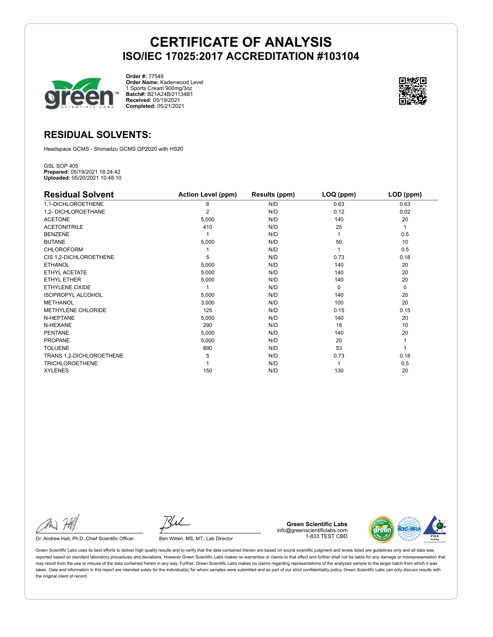

**Order #:** 77549 **Order Name:** Kadenwood Level 1 Sports Cream 900mg/3oz **Batch#:** B21A24B/21134B1 **Received:** 05/19/2021 **Completed:** 05/21/2021



## **RESIDUAL SOLVENTS:**

Headspace GCMS - Shimadzu GCMS QP2020 with HS20

GSL SOP 405 **Prepared:** 05/19/2021 18:24:42 **Uploaded:** 05/20/2021 10:48:10

| <b>Residual Solvent</b>   | <b>Action Level (ppm)</b> | Results (ppm) | $LOQ$ (ppm) | LOD (ppm) |
|---------------------------|---------------------------|---------------|-------------|-----------|
| 1,1-DICHLOROETHENE        | 8                         | N/D           | 0.63        | 0.63      |
| 1,2- DICHLOROETHANE       | 2                         | N/D           | 0.12        | 0.02      |
| <b>ACETONE</b>            | 5,000                     | N/D           | 140         | 20        |
| <b>ACETONITRILE</b>       | 410                       | N/D           | 25          | 1         |
| <b>BENZENE</b>            |                           | N/D           |             | 0.5       |
| <b>BUTANE</b>             | 5,000                     | N/D           | 50          | 10        |
| <b>CHLOROFORM</b>         |                           | N/D           |             | 0.5       |
| CIS 1,2-DICHLOROETHENE    | 5                         | N/D           | 0.73        | 0.18      |
| <b>ETHANOL</b>            | 5,000                     | N/D           | 140         | 20        |
| ETHYL ACETATE             | 5,000                     | N/D           | 140         | 20        |
| <b>ETHYL ETHER</b>        | 5,000                     | N/D           | 140         | 20        |
| <b>ETHYLENE OXIDE</b>     |                           | N/D           | $\Omega$    | 0         |
| <b>ISOPROPYL ALCOHOL</b>  | 5,000                     | N/D           | 140         | 20        |
| <b>METHANOL</b>           | 3,000                     | N/D           | 100         | 20        |
| <b>METHYLENE CHLORIDE</b> | 125                       | N/D           | 0.15        | 0.15      |
| N-HEPTANE                 | 5,000                     | N/D           | 140         | 20        |
| N-HEXANE                  | 290                       | N/D           | 18          | 10        |
| <b>PENTANE</b>            | 5,000                     | N/D           | 140         | 20        |
| <b>PROPANE</b>            | 5,000                     | N/D           | 20          |           |
| <b>TOLUENE</b>            | 890                       | N/D           | 53          |           |
| TRANS 1,2-DICHLOROETHENE  | 5                         | N/D           | 0.73        | 0.18      |
| <b>TRICHLOROETHENE</b>    |                           | N/D           |             | 0.5       |
| <b>XYLENES</b>            | 150                       | N/D           | 130         | 20        |

Dr. Andrew Hall, Ph.D., Chief Scientific Officer Ben Witten, MS, MT., Lab Director

**Green Scientific Labs** info@greenscientificlabs.com 1-833 TEST CBD

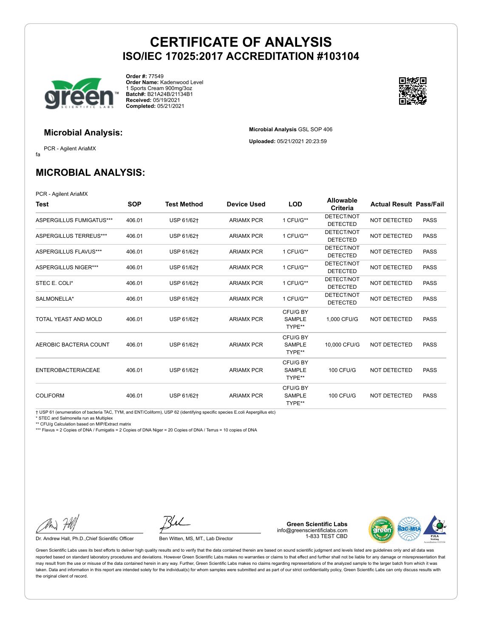**Microbial Analysis** GSL SOP 406 **Uploaded:** 05/21/2021 20:23:59



**Order #:** 77549 **Order Name:** Kadenwood Level 1 Sports Cream 900mg/3oz **Batch#:** B21A24B/21134B1 **Received:** 05/19/2021 **Completed:** 05/21/2021



### **Microbial Analysis:**

fa PCR - Agilent AriaMX

**MICROBIAL ANALYSIS:**

PCR - Agilent AriaMX

| Test                        | <b>SOP</b> | <b>Test Method</b> | <b>Device Used</b> | <b>LOD</b>                          | <b>Allowable</b><br>Criteria  | <b>Actual Result Pass/Fail</b> |             |
|-----------------------------|------------|--------------------|--------------------|-------------------------------------|-------------------------------|--------------------------------|-------------|
| ASPERGILLUS FUMIGATUS***    | 406.01     | USP 61/62+         | <b>ARIAMX PCR</b>  | 1 CFU/G**                           | DETECT/NOT<br><b>DETECTED</b> | NOT DETECTED                   | <b>PASS</b> |
| ASPERGILLUS TERREUS***      | 406.01     | USP 61/62+         | <b>ARIAMX PCR</b>  | 1 CFU/G**                           | DETECT/NOT<br><b>DETECTED</b> | <b>NOT DETECTED</b>            | <b>PASS</b> |
| ASPERGILLUS FLAVUS***       | 406.01     | USP 61/62†         | <b>ARIAMX PCR</b>  | 1 CFU/G**                           | DETECT/NOT<br><b>DETECTED</b> | <b>NOT DETECTED</b>            | <b>PASS</b> |
| <b>ASPERGILLUS NIGER***</b> | 406.01     | USP 61/62†         | <b>ARIAMX PCR</b>  | 1 CFU/G**                           | DETECT/NOT<br><b>DETECTED</b> | NOT DETECTED                   | <b>PASS</b> |
| STEC E. COLI*               | 406.01     | USP 61/62+         | <b>ARIAMX PCR</b>  | 1 CFU/G**                           | DETECT/NOT<br><b>DETECTED</b> | NOT DETECTED                   | <b>PASS</b> |
| SALMONELLA*                 | 406.01     | USP 61/62+         | <b>ARIAMX PCR</b>  | 1 CFU/G**                           | DETECT/NOT<br><b>DETECTED</b> | <b>NOT DETECTED</b>            | <b>PASS</b> |
| TOTAL YEAST AND MOLD        | 406.01     | USP 61/62+         | <b>ARIAMX PCR</b>  | CFU/G BY<br><b>SAMPLE</b><br>TYPE** | 1.000 CFU/G                   | <b>NOT DETECTED</b>            | <b>PASS</b> |
| AEROBIC BACTERIA COUNT      | 406.01     | USP 61/62+         | <b>ARIAMX PCR</b>  | CFU/G BY<br><b>SAMPLE</b><br>TYPE** | 10,000 CFU/G                  | <b>NOT DETECTED</b>            | <b>PASS</b> |
| <b>ENTEROBACTERIACEAE</b>   | 406.01     | USP 61/62+         | <b>ARIAMX PCR</b>  | CFU/G BY<br><b>SAMPLE</b><br>TYPE** | <b>100 CFU/G</b>              | <b>NOT DETECTED</b>            | <b>PASS</b> |
| <b>COLIFORM</b>             | 406.01     | USP 61/62+         | <b>ARIAMX PCR</b>  | CFU/G BY<br><b>SAMPLE</b><br>TYPE** | <b>100 CFU/G</b>              | <b>NOT DETECTED</b>            | <b>PASS</b> |

† USP 61 (enumeration of bacteria TAC, TYM, and ENT/Coliform), USP 62 (identifying specific species E.coli Aspergillus etc)

\* STEC and Salmonella run as Multiplex

\*\* CFU/g Calculation based on MIP/Extract matrix

\*\*\* Flavus = 2 Copies of DNA / Fumigatis = 2 Copies of DNA Niger = 20 Copies of DNA / Terrus = 10 copies of DNA

Dr. Andrew Hall, Ph.D., Chief Scientific Officer Ben Witten, MS, MT., Lab Director

**Green Scientific Labs** info@greenscientificlabs.com 1-833 TEST CBD